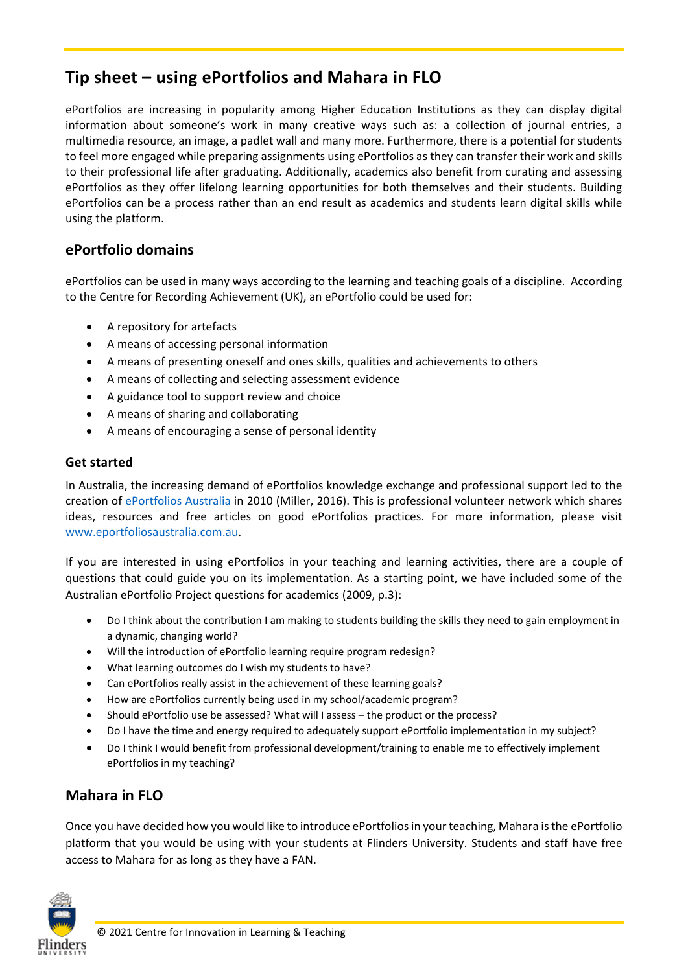# **Tip sheet – using ePortfolios and Mahara in FLO**

ePortfolios are increasing in popularity among Higher Education Institutions as they can display digital information about someone's work in many creative ways such as: a collection of journal entries, a multimedia resource, an image, a padlet wall and many more. Furthermore, there is a potential for students to feel more engaged while preparing assignments using ePortfolios as they can transfer their work and skills to their professional life after graduating. Additionally, academics also benefit from curating and assessing ePortfolios as they offer lifelong learning opportunities for both themselves and their students. Building ePortfolios can be a process rather than an end result as academics and students learn digital skills while using the platform.

#### **ePortfolio domains**

ePortfolios can be used in many ways according to the learning and teaching goals of a discipline. According to the Centre for Recording Achievement (UK), an ePortfolio could be used for:

- A repository for artefacts
- A means of accessing personal information
- A means of presenting oneself and ones skills, qualities and achievements to others
- A means of collecting and selecting assessment evidence
- A guidance tool to support review and choice
- A means of sharing and collaborating
- A means of encouraging a sense of personal identity

#### **Get started**

In Australia, the increasing demand of ePortfolios knowledge exchange and professional support led to the creation of [ePortfolios Australia](http://www.eportfoliosaustralia.com.au/) in 2010 (Miller, 2016). This is professional volunteer network which shares ideas, resources and free articles on good ePortfolios practices. For more information, please visit [www.eportfoliosaustralia.com.au.](http://www.eportfoliosaustralia.com.au/)

If you are interested in using ePortfolios in your teaching and learning activities, there are a couple of questions that could guide you on its implementation. As a starting point, we have included some of the Australian ePortfolio Project questions for academics (2009, p.3):

- Do I think about the contribution I am making to students building the skills they need to gain employment in a dynamic, changing world?
- Will the introduction of ePortfolio learning require program redesign?
- What learning outcomes do I wish my students to have?
- Can ePortfolios really assist in the achievement of these learning goals?
- How are ePortfolios currently being used in my school/academic program?
- Should ePortfolio use be assessed? What will I assess the product or the process?
- Do I have the time and energy required to adequately support ePortfolio implementation in my subject?
- Do I think I would benefit from professional development/training to enable me to effectively implement ePortfolios in my teaching?

## **Mahara in FLO**

Once you have decided how you would like to introduce ePortfolios in your teaching, Mahara is the ePortfolio platform that you would be using with your students at Flinders University. Students and staff have free access to Mahara for as long as they have a FAN.